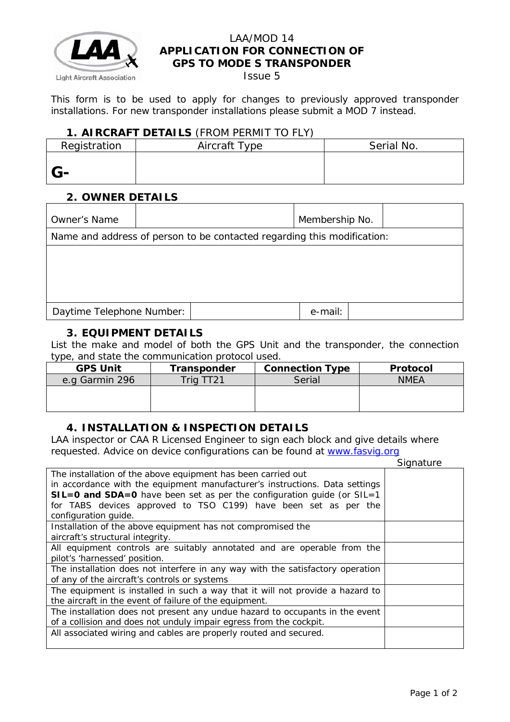

## LAA/MOD 14 **APPLICATION FOR CONNECTION OF GPS TO MODE S TRANSPONDER**

Issue 5

This form is to be used to apply for changes to previously approved transponder installations. For new transponder installations please submit a MOD 7 instead.

### **1. AIRCRAFT DETAILS** (FROM PERMIT TO FLY)

| Registration | Aircraft Type | Serial No. |
|--------------|---------------|------------|
|              |               |            |
| $G-$         |               |            |

## **2. OWNER DETAILS**

| Owner's Name                                                            |  |  | Membership No. |  |  |
|-------------------------------------------------------------------------|--|--|----------------|--|--|
| Name and address of person to be contacted regarding this modification: |  |  |                |  |  |
|                                                                         |  |  |                |  |  |
|                                                                         |  |  |                |  |  |
|                                                                         |  |  |                |  |  |
| Daytime Telephone Number:                                               |  |  | e-mail:        |  |  |
|                                                                         |  |  |                |  |  |

## **3. EQUIPMENT DETAILS**

List the make and model of both the GPS Unit and the transponder, the connection type, and state the communication protocol used.

| <b>GPS Unit</b> | Transponder | <b>Connection Type</b> | Protocol    |
|-----------------|-------------|------------------------|-------------|
| e.g Garmin 296  | $Trig$ TT21 | Serial                 | <i>NMEA</i> |
|                 |             |                        |             |
|                 |             |                        |             |

# **4. INSTALLATION & INSPECTION DETAILS**

LAA inspector or CAA R Licensed Engineer to sign each block and give details where requested. Advice on device configurations can be found at [www.fasvig.org](http://www.fasvig.org/)

|                                                                                | Signature |
|--------------------------------------------------------------------------------|-----------|
| The installation of the above equipment has been carried out                   |           |
| in accordance with the equipment manufacturer's instructions. Data settings    |           |
| SIL=0 and SDA=0 have been set as per the configuration guide (or SIL=1         |           |
| for TABS devices approved to TSO C199) have been set as per the                |           |
| configuration quide.                                                           |           |
| Installation of the above equipment has not compromised the                    |           |
| aircraft's structural integrity.                                               |           |
| All equipment controls are suitably annotated and are operable from the        |           |
| pilot's 'harnessed' position.                                                  |           |
| The installation does not interfere in any way with the satisfactory operation |           |
| of any of the aircraft's controls or systems                                   |           |
| The equipment is installed in such a way that it will not provide a hazard to  |           |
| the aircraft in the event of failure of the equipment.                         |           |
| The installation does not present any undue hazard to occupants in the event   |           |
| of a collision and does not unduly impair egress from the cockpit.             |           |
| All associated wiring and cables are properly routed and secured.              |           |
|                                                                                |           |